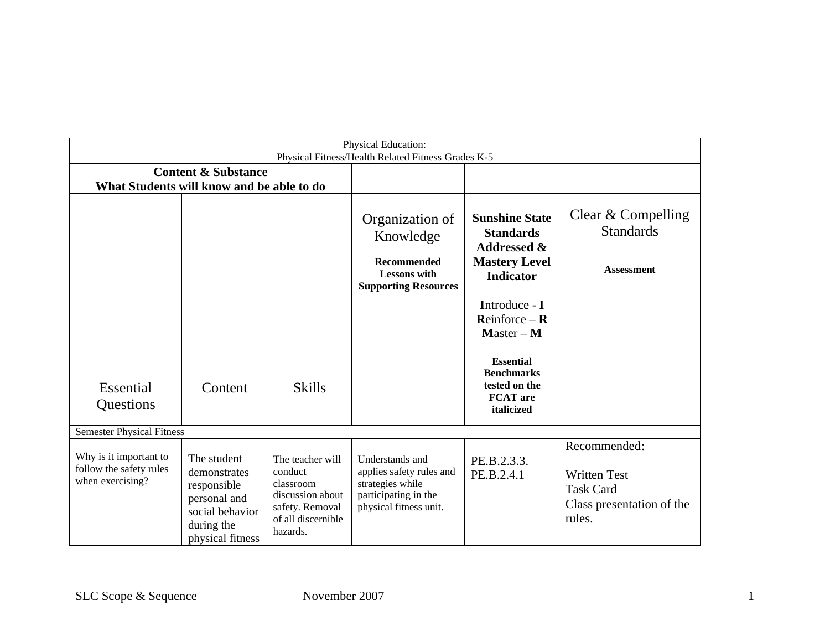| Physical Education:                                                         |                                                                                                                 |                                                                                                                   |                                                                                                                   |                                                                                                                                                                                                                                                                                  |                                                                                                |  |  |
|-----------------------------------------------------------------------------|-----------------------------------------------------------------------------------------------------------------|-------------------------------------------------------------------------------------------------------------------|-------------------------------------------------------------------------------------------------------------------|----------------------------------------------------------------------------------------------------------------------------------------------------------------------------------------------------------------------------------------------------------------------------------|------------------------------------------------------------------------------------------------|--|--|
| Physical Fitness/Health Related Fitness Grades K-5                          |                                                                                                                 |                                                                                                                   |                                                                                                                   |                                                                                                                                                                                                                                                                                  |                                                                                                |  |  |
| <b>Content &amp; Substance</b><br>What Students will know and be able to do |                                                                                                                 |                                                                                                                   |                                                                                                                   |                                                                                                                                                                                                                                                                                  |                                                                                                |  |  |
| Essential<br>Questions                                                      | Content                                                                                                         | <b>Skills</b>                                                                                                     | Organization of<br>Knowledge<br><b>Recommended</b><br><b>Lessons</b> with<br><b>Supporting Resources</b>          | <b>Sunshine State</b><br><b>Standards</b><br><b>Addressed &amp;</b><br><b>Mastery Level</b><br><b>Indicator</b><br>Introduce - I<br>$\mathbf{Reinforce} - \mathbf{R}$<br>$Master - M$<br><b>Essential</b><br><b>Benchmarks</b><br>tested on the<br><b>FCAT</b> are<br>italicized | Clear & Compelling<br><b>Standards</b><br><b>Assessment</b>                                    |  |  |
| <b>Semester Physical Fitness</b>                                            |                                                                                                                 |                                                                                                                   |                                                                                                                   |                                                                                                                                                                                                                                                                                  |                                                                                                |  |  |
| Why is it important to<br>follow the safety rules<br>when exercising?       | The student<br>demonstrates<br>responsible<br>personal and<br>social behavior<br>during the<br>physical fitness | The teacher will<br>conduct<br>classroom<br>discussion about<br>safety. Removal<br>of all discernible<br>hazards. | Understands and<br>applies safety rules and<br>strategies while<br>participating in the<br>physical fitness unit. | PE.B.2.3.3.<br>PE.B.2.4.1                                                                                                                                                                                                                                                        | Recommended:<br><b>Written Test</b><br><b>Task Card</b><br>Class presentation of the<br>rules. |  |  |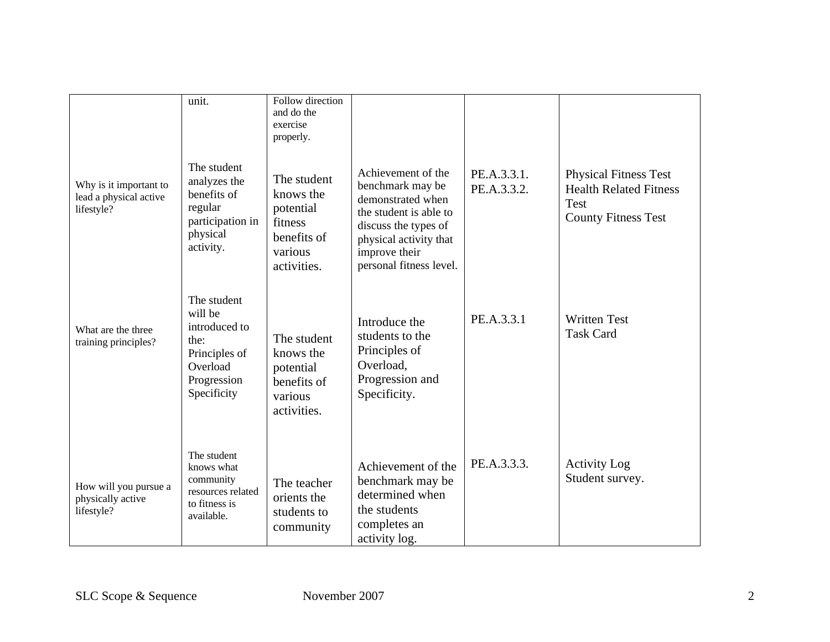|                                                                | unit.                                                                                                      | Follow direction<br>and do the<br>exercise<br>properly.                                   |                                                                                                                                                                                     |                            |                                                                                                     |
|----------------------------------------------------------------|------------------------------------------------------------------------------------------------------------|-------------------------------------------------------------------------------------------|-------------------------------------------------------------------------------------------------------------------------------------------------------------------------------------|----------------------------|-----------------------------------------------------------------------------------------------------|
| Why is it important to<br>lead a physical active<br>lifestyle? | The student<br>analyzes the<br>benefits of<br>regular<br>participation in<br>physical<br>activity.         | The student<br>knows the<br>potential<br>fitness<br>benefits of<br>various<br>activities. | Achievement of the<br>benchmark may be<br>demonstrated when<br>the student is able to<br>discuss the types of<br>physical activity that<br>improve their<br>personal fitness level. | PE.A.3.3.1.<br>PE.A.3.3.2. | <b>Physical Fitness Test</b><br><b>Health Related Fitness</b><br>Test<br><b>County Fitness Test</b> |
| What are the three<br>training principles?                     | The student<br>will be<br>introduced to<br>the:<br>Principles of<br>Overload<br>Progression<br>Specificity | The student<br>knows the<br>potential<br>benefits of<br>various<br>activities.            | Introduce the<br>students to the<br>Principles of<br>Overload,<br>Progression and<br>Specificity.                                                                                   | PE.A.3.3.1                 | <b>Written Test</b><br><b>Task Card</b>                                                             |
| How will you pursue a<br>physically active<br>lifestyle?       | The student<br>knows what<br>community<br>resources related<br>to fitness is<br>available.                 | The teacher<br>orients the<br>students to<br>community                                    | Achievement of the<br>benchmark may be<br>determined when<br>the students<br>completes an<br>activity log.                                                                          | PE.A.3.3.3.                | <b>Activity Log</b><br>Student survey.                                                              |